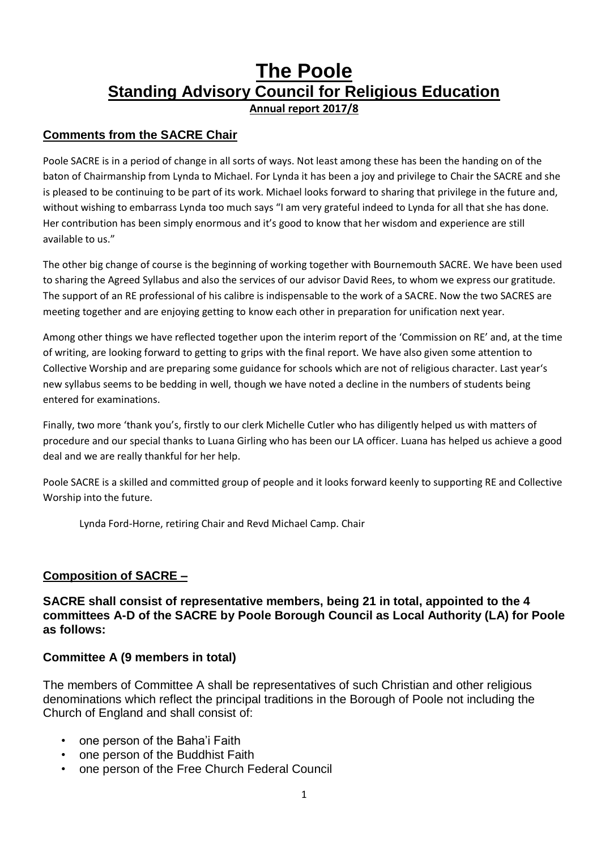# **The Poole Standing Advisory Council for Religious Education Annual report 2017/8**

#### **Comments from the SACRE Chair**

Poole SACRE is in a period of change in all sorts of ways. Not least among these has been the handing on of the baton of Chairmanship from Lynda to Michael. For Lynda it has been a joy and privilege to Chair the SACRE and she is pleased to be continuing to be part of its work. Michael looks forward to sharing that privilege in the future and, without wishing to embarrass Lynda too much says "I am very grateful indeed to Lynda for all that she has done. Her contribution has been simply enormous and it's good to know that her wisdom and experience are still available to us."

The other big change of course is the beginning of working together with Bournemouth SACRE. We have been used to sharing the Agreed Syllabus and also the services of our advisor David Rees, to whom we express our gratitude. The support of an RE professional of his calibre is indispensable to the work of a SACRE. Now the two SACRES are meeting together and are enjoying getting to know each other in preparation for unification next year.

Among other things we have reflected together upon the interim report of the 'Commission on RE' and, at the time of writing, are looking forward to getting to grips with the final report. We have also given some attention to Collective Worship and are preparing some guidance for schools which are not of religious character. Last year's new syllabus seems to be bedding in well, though we have noted a decline in the numbers of students being entered for examinations.

Finally, two more 'thank you's, firstly to our clerk Michelle Cutler who has diligently helped us with matters of procedure and our special thanks to Luana Girling who has been our LA officer. Luana has helped us achieve a good deal and we are really thankful for her help.

Poole SACRE is a skilled and committed group of people and it looks forward keenly to supporting RE and Collective Worship into the future.

Lynda Ford-Horne, retiring Chair and Revd Michael Camp. Chair

#### **Composition of SACRE –**

**SACRE shall consist of representative members, being 21 in total, appointed to the 4 committees A-D of the SACRE by Poole Borough Council as Local Authority (LA) for Poole as follows:** 

#### **Committee A (9 members in total)**

The members of Committee A shall be representatives of such Christian and other religious denominations which reflect the principal traditions in the Borough of Poole not including the Church of England and shall consist of:

- one person of the Baha'i Faith
- one person of the Buddhist Faith
- one person of the Free Church Federal Council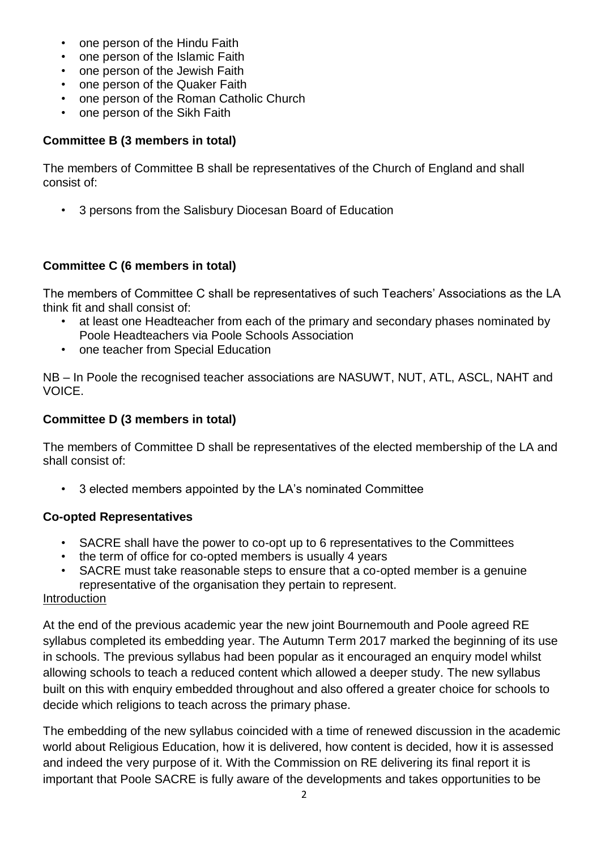- one person of the Hindu Faith
- one person of the Islamic Faith
- one person of the Jewish Faith
- one person of the Quaker Faith
- one person of the Roman Catholic Church
- one person of the Sikh Faith

### **Committee B (3 members in total)**

The members of Committee B shall be representatives of the Church of England and shall consist of:

• 3 persons from the Salisbury Diocesan Board of Education

### **Committee C (6 members in total)**

The members of Committee C shall be representatives of such Teachers' Associations as the LA think fit and shall consist of:

- at least one Headteacher from each of the primary and secondary phases nominated by Poole Headteachers via Poole Schools Association
- one teacher from Special Education

NB – In Poole the recognised teacher associations are NASUWT, NUT, ATL, ASCL, NAHT and VOICE.

#### **Committee D (3 members in total)**

The members of Committee D shall be representatives of the elected membership of the LA and shall consist of:

• 3 elected members appointed by the LA's nominated Committee

#### **Co-opted Representatives**

- SACRE shall have the power to co-opt up to 6 representatives to the Committees
- the term of office for co-opted members is usually 4 years
- SACRE must take reasonable steps to ensure that a co-opted member is a genuine representative of the organisation they pertain to represent.

#### Introduction

At the end of the previous academic year the new joint Bournemouth and Poole agreed RE syllabus completed its embedding year. The Autumn Term 2017 marked the beginning of its use in schools. The previous syllabus had been popular as it encouraged an enquiry model whilst allowing schools to teach a reduced content which allowed a deeper study. The new syllabus built on this with enquiry embedded throughout and also offered a greater choice for schools to decide which religions to teach across the primary phase.

The embedding of the new syllabus coincided with a time of renewed discussion in the academic world about Religious Education, how it is delivered, how content is decided, how it is assessed and indeed the very purpose of it. With the Commission on RE delivering its final report it is important that Poole SACRE is fully aware of the developments and takes opportunities to be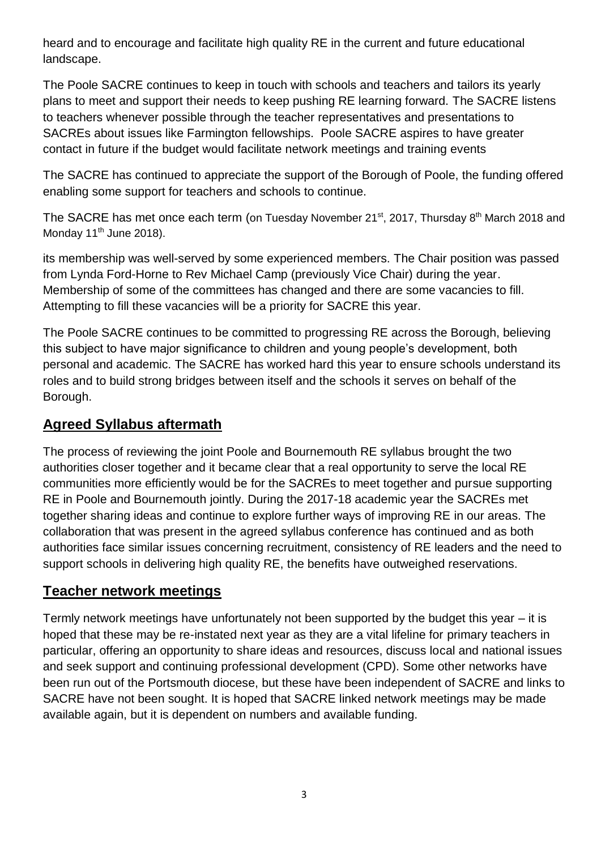heard and to encourage and facilitate high quality RE in the current and future educational landscape.

The Poole SACRE continues to keep in touch with schools and teachers and tailors its yearly plans to meet and support their needs to keep pushing RE learning forward. The SACRE listens to teachers whenever possible through the teacher representatives and presentations to SACREs about issues like Farmington fellowships. Poole SACRE aspires to have greater contact in future if the budget would facilitate network meetings and training events

The SACRE has continued to appreciate the support of the Borough of Poole, the funding offered enabling some support for teachers and schools to continue.

The SACRE has met once each term (on Tuesday November 21<sup>st</sup>, 2017, Thursday 8<sup>th</sup> March 2018 and Monday 11<sup>th</sup> June 2018).

its membership was well-served by some experienced members. The Chair position was passed from Lynda Ford-Horne to Rev Michael Camp (previously Vice Chair) during the year. Membership of some of the committees has changed and there are some vacancies to fill. Attempting to fill these vacancies will be a priority for SACRE this year.

The Poole SACRE continues to be committed to progressing RE across the Borough, believing this subject to have major significance to children and young people's development, both personal and academic. The SACRE has worked hard this year to ensure schools understand its roles and to build strong bridges between itself and the schools it serves on behalf of the Borough.

## **Agreed Syllabus aftermath**

The process of reviewing the joint Poole and Bournemouth RE syllabus brought the two authorities closer together and it became clear that a real opportunity to serve the local RE communities more efficiently would be for the SACREs to meet together and pursue supporting RE in Poole and Bournemouth jointly. During the 2017-18 academic year the SACREs met together sharing ideas and continue to explore further ways of improving RE in our areas. The collaboration that was present in the agreed syllabus conference has continued and as both authorities face similar issues concerning recruitment, consistency of RE leaders and the need to support schools in delivering high quality RE, the benefits have outweighed reservations.

# **Teacher network meetings**

Termly network meetings have unfortunately not been supported by the budget this year – it is hoped that these may be re-instated next year as they are a vital lifeline for primary teachers in particular, offering an opportunity to share ideas and resources, discuss local and national issues and seek support and continuing professional development (CPD). Some other networks have been run out of the Portsmouth diocese, but these have been independent of SACRE and links to SACRE have not been sought. It is hoped that SACRE linked network meetings may be made available again, but it is dependent on numbers and available funding.